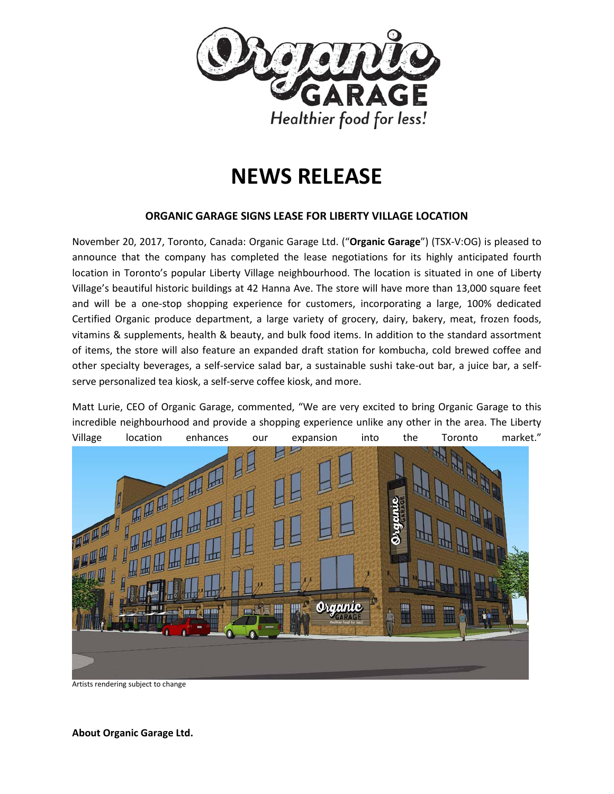

# **NEWS RELEASE**

## **ORGANIC GARAGE SIGNS LEASE FOR LIBERTY VILLAGE LOCATION**

November 20, 2017, Toronto, Canada: Organic Garage Ltd. ("**Organic Garage**") (TSX-V:OG) is pleased to announce that the company has completed the lease negotiations for its highly anticipated fourth location in Toronto's popular Liberty Village neighbourhood. The location is situated in one of Liberty Village's beautiful historic buildings at 42 Hanna Ave. The store will have more than 13,000 square feet and will be a one-stop shopping experience for customers, incorporating a large, 100% dedicated Certified Organic produce department, a large variety of grocery, dairy, bakery, meat, frozen foods, vitamins & supplements, health & beauty, and bulk food items. In addition to the standard assortment of items, the store will also feature an expanded draft station for kombucha, cold brewed coffee and other specialty beverages, a self-service salad bar, a sustainable sushi take-out bar, a juice bar, a selfserve personalized tea kiosk, a self-serve coffee kiosk, and more.

Matt Lurie, CEO of Organic Garage, commented, "We are very excited to bring Organic Garage to this incredible neighbourhood and provide a shopping experience unlike any other in the area. The Liberty



Artists rendering subject to change

**About Organic Garage Ltd.**